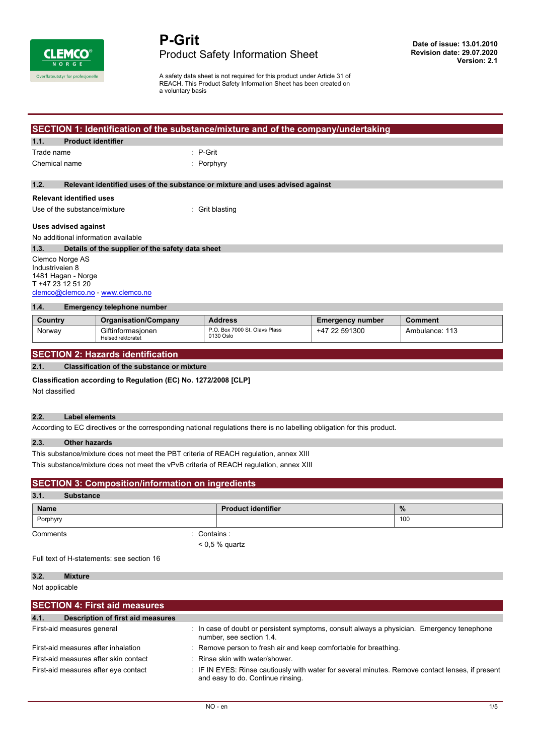

A safety data sheet is not required for this product under Article 31 of REACH. This Product Safety Information Sheet has been created on a voluntary basis

# **SECTION 1: Identification of the substance/mixture and of the company/undertaking**

# **1.1. Product identifier**

| Trade name | : P-Grit |
|------------|----------|
|            |          |

Chemical name : Porphyry

### **1.2. Relevant identified uses of the substance or mixture and uses advised against**

### **Relevant identified uses**

Use of the substance/mixture : Grit blasting

### **Uses advised against**

No additional information available

**1.3. Details of the supplier of the safety data sheet** Clemco Norge AS Industriveien 8

1481 Hagan - Norge T +47 23 12 51 20 [clemco@clemco.no](mailto:clemco@clemco.no) -<www.clemco.no>

# **1.4. Emergency telephone number**

| .<br><b>Ennorgonoy tolophone number</b> |                                        |                                            |                         |                |
|-----------------------------------------|----------------------------------------|--------------------------------------------|-------------------------|----------------|
|                                         |                                        |                                            |                         |                |
| Country                                 | <b>Organisation/Company</b>            | <b>Address</b>                             | <b>Emergency number</b> | Comment        |
| Norway                                  | Giftinformasionen<br>Helsedirektoratet | P.O. Box 7000 St. Olavs Plass<br>0130 Oslo | +47 22 591300           | Ambulance: 113 |

# **SECTION 2: Hazards identification**

# **2.1. Classification of the substance or mixture**

#### **Classification according to Regulation (EC) No. 1272/2008 [CLP]**

Not classified

# **2.2. Label elements**

According to EC directives or the corresponding national regulations there is no labelling obligation for this product.

### **2.3. Other hazards**

This substance/mixture does not meet the PBT criteria of REACH regulation, annex XIII This substance/mixture does not meet the vPvB criteria of REACH regulation, annex XIII

| <b>SECTION 3: Composition/information on ingredients</b><br>3.1.<br><b>Substance</b> |                         |                  |  |             |
|--------------------------------------------------------------------------------------|-------------------------|------------------|--|-------------|
|                                                                                      |                         |                  |  | <b>Name</b> |
| Porphyry                                                                             |                         |                  |  | 100         |
| Comments                                                                             | $\therefore$ Contains : |                  |  |             |
|                                                                                      |                         | $< 0.5$ % quartz |  |             |

Full text of H-statements: see section 16

| Mixture |
|---------|
|         |

Not applicable

| <b>SECTION 4: First aid measures</b>      |                                                                                                                                       |
|-------------------------------------------|---------------------------------------------------------------------------------------------------------------------------------------|
| 4.1.<br>Description of first aid measures |                                                                                                                                       |
| First-aid measures general                | : In case of doubt or persistent symptoms, consult always a physician. Emergency tenephone<br>number, see section 1.4.                |
| First-aid measures after inhalation       | : Remove person to fresh air and keep comfortable for breathing.                                                                      |
| First-aid measures after skin contact     | : Rinse skin with water/shower.                                                                                                       |
| First-aid measures after eye contact      | : IF IN EYES: Rinse cautiously with water for several minutes. Remove contact lenses, if present<br>and easy to do. Continue rinsing. |
|                                           |                                                                                                                                       |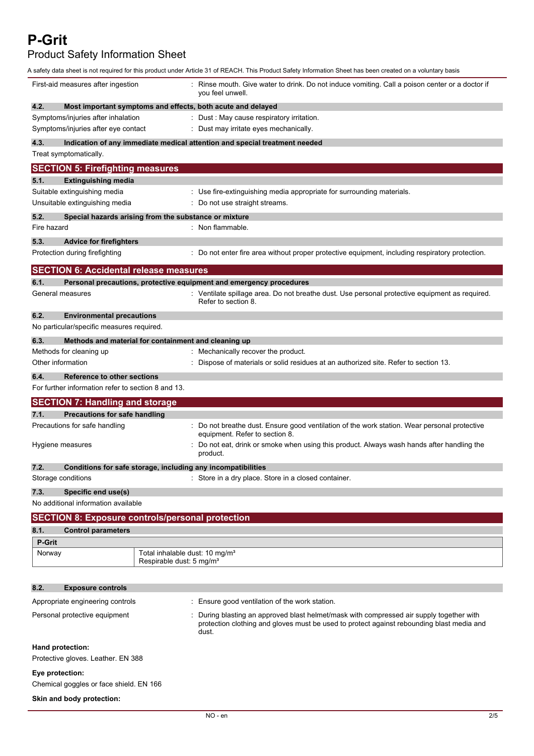**P-Grit**

Product Safety Information Sheet

|                                                                                                  | A safety data sheet is not required for this product under Article 31 of REACH. This Product Safety Information Sheet has been created on a voluntary basis                                  |
|--------------------------------------------------------------------------------------------------|----------------------------------------------------------------------------------------------------------------------------------------------------------------------------------------------|
| First-aid measures after ingestion                                                               | Rinse mouth. Give water to drink. Do not induce vomiting. Call a poison center or a doctor if<br>you feel unwell.                                                                            |
| 4.2.                                                                                             | Most important symptoms and effects, both acute and delayed                                                                                                                                  |
| Symptoms/injuries after inhalation                                                               | : Dust : May cause respiratory irritation.                                                                                                                                                   |
| Symptoms/injuries after eye contact                                                              | Dust may irritate eyes mechanically.                                                                                                                                                         |
| 4.3.                                                                                             | Indication of any immediate medical attention and special treatment needed                                                                                                                   |
| Treat symptomatically.                                                                           |                                                                                                                                                                                              |
| <b>SECTION 5: Firefighting measures</b>                                                          |                                                                                                                                                                                              |
| 5.1.<br><b>Extinguishing media</b>                                                               |                                                                                                                                                                                              |
| Suitable extinguishing media                                                                     | : Use fire-extinguishing media appropriate for surrounding materials.                                                                                                                        |
| Unsuitable extinguishing media                                                                   | : Do not use straight streams.                                                                                                                                                               |
| 5.2.                                                                                             | Special hazards arising from the substance or mixture                                                                                                                                        |
| Fire hazard                                                                                      | : Non flammable.                                                                                                                                                                             |
| 5.3.<br><b>Advice for firefighters</b>                                                           |                                                                                                                                                                                              |
| Protection during firefighting                                                                   | : Do not enter fire area without proper protective equipment, including respiratory protection.                                                                                              |
| <b>SECTION 6: Accidental release measures</b>                                                    |                                                                                                                                                                                              |
| 6.1.                                                                                             | Personal precautions, protective equipment and emergency procedures                                                                                                                          |
| General measures                                                                                 | : Ventilate spillage area. Do not breathe dust. Use personal protective equipment as required.<br>Refer to section 8.                                                                        |
| 6.2.<br><b>Environmental precautions</b><br>No particular/specific measures required.            |                                                                                                                                                                                              |
| 6.3.                                                                                             | Methods and material for containment and cleaning up                                                                                                                                         |
| Methods for cleaning up                                                                          | : Mechanically recover the product.                                                                                                                                                          |
| Other information                                                                                | Dispose of materials or solid residues at an authorized site. Refer to section 13.                                                                                                           |
| 6.4.<br><b>Reference to other sections</b><br>For further information refer to section 8 and 13. |                                                                                                                                                                                              |
| <b>SECTION 7: Handling and storage</b>                                                           |                                                                                                                                                                                              |
| 7.1.<br>Precautions for safe handling                                                            |                                                                                                                                                                                              |
| Precautions for safe handling                                                                    | : Do not breathe dust. Ensure good ventilation of the work station. Wear personal protective                                                                                                 |
| Hygiene measures                                                                                 | equipment. Refer to section 8.<br>Do not eat, drink or smoke when using this product. Always wash hands after handling the<br>product.                                                       |
| 7.2.                                                                                             | Conditions for safe storage, including any incompatibilities                                                                                                                                 |
| Storage conditions                                                                               | : Store in a dry place. Store in a closed container.                                                                                                                                         |
| Specific end use(s)<br>7.3.                                                                      |                                                                                                                                                                                              |
| No additional information available                                                              |                                                                                                                                                                                              |
| <b>SECTION 8: Exposure controls/personal protection</b>                                          |                                                                                                                                                                                              |
| 8.1.<br><b>Control parameters</b>                                                                |                                                                                                                                                                                              |
| <b>P-Grit</b>                                                                                    |                                                                                                                                                                                              |
| Norway                                                                                           | Total inhalable dust: 10 mg/m <sup>3</sup><br>Respirable dust: 5 mg/m <sup>3</sup>                                                                                                           |
| 8.2.<br><b>Exposure controls</b>                                                                 |                                                                                                                                                                                              |
|                                                                                                  |                                                                                                                                                                                              |
| Appropriate engineering controls                                                                 | : Ensure good ventilation of the work station.                                                                                                                                               |
| Personal protective equipment                                                                    | During blasting an approved blast helmet/mask with compressed air supply together with<br>protection clothing and gloves must be used to protect against rebounding blast media and<br>dust. |
| Hand protection:                                                                                 |                                                                                                                                                                                              |
| Protective gloves. Leather. EN 388                                                               |                                                                                                                                                                                              |
| Eye protection:<br>Chemical goggles or face shield. EN 166                                       |                                                                                                                                                                                              |
| Skin and body protection:                                                                        |                                                                                                                                                                                              |
|                                                                                                  |                                                                                                                                                                                              |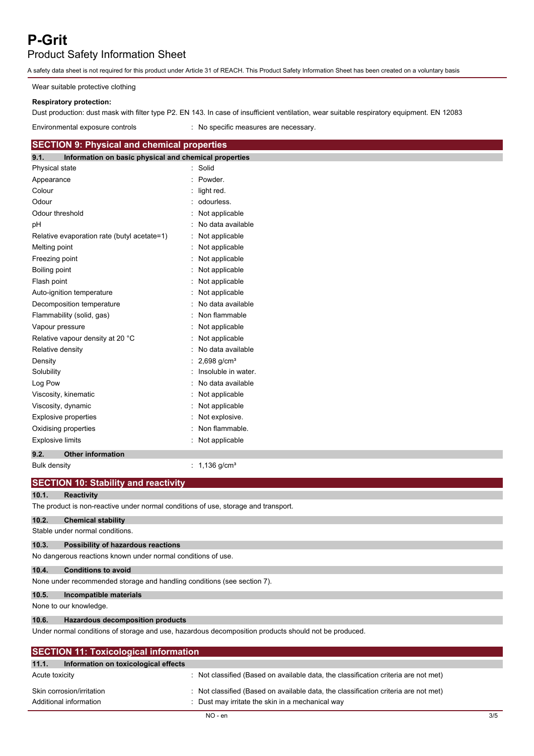# **P-Grit**

# Product Safety Information Sheet

A safety data sheet is not required for this product under Article 31 of REACH. This Product Safety Information Sheet has been created on a voluntary basis

Wear suitable protective clothing

# **Respiratory protection:**

Dust production: dust mask with filter type P2. EN 143. In case of insufficient ventilation, wear suitable respiratory equipment. EN 12083

Environmental exposure controls : No specific measures are necessary.

| <b>SECTION 9: Physical and chemical properties</b>                                                   |                             |  |
|------------------------------------------------------------------------------------------------------|-----------------------------|--|
| Information on basic physical and chemical properties<br>9.1.                                        |                             |  |
| Physical state                                                                                       | : Solid                     |  |
| Appearance                                                                                           | Powder.                     |  |
| Colour                                                                                               | light red.                  |  |
| Odour                                                                                                | odourless.                  |  |
| Odour threshold                                                                                      | Not applicable              |  |
| pH                                                                                                   | No data available           |  |
| Relative evaporation rate (butyl acetate=1)                                                          | Not applicable              |  |
| Melting point                                                                                        | Not applicable              |  |
| Freezing point                                                                                       | Not applicable              |  |
| Boiling point                                                                                        | Not applicable              |  |
| Flash point                                                                                          | Not applicable              |  |
| Auto-ignition temperature                                                                            | Not applicable              |  |
| Decomposition temperature                                                                            | No data available           |  |
| Flammability (solid, gas)                                                                            | Non flammable               |  |
| Vapour pressure                                                                                      | Not applicable              |  |
| Relative vapour density at 20 °C                                                                     | Not applicable              |  |
| Relative density                                                                                     | No data available           |  |
| Density                                                                                              | 2,698 $g/cm^{3}$            |  |
| Solubility                                                                                           | Insoluble in water.         |  |
| Log Pow                                                                                              | No data available           |  |
| Viscosity, kinematic                                                                                 | Not applicable              |  |
| Viscosity, dynamic                                                                                   | Not applicable              |  |
| <b>Explosive properties</b>                                                                          | Not explosive.              |  |
| Oxidising properties                                                                                 | Non flammable.              |  |
| <b>Explosive limits</b>                                                                              | Not applicable              |  |
| 9.2.<br><b>Other information</b>                                                                     |                             |  |
| <b>Bulk density</b>                                                                                  | : $1,136$ g/cm <sup>3</sup> |  |
| <b>SECTION 10: Stability and reactivity</b>                                                          |                             |  |
| 10.1.<br><b>Reactivity</b>                                                                           |                             |  |
| The product is non-reactive under normal conditions of use, storage and transport.                   |                             |  |
| 10.2.<br><b>Chemical stability</b>                                                                   |                             |  |
| Stable under normal conditions.                                                                      |                             |  |
| 10.3.<br>Possibility of hazardous reactions                                                          |                             |  |
| No dangerous reactions known under normal conditions of use.                                         |                             |  |
| 10.4.<br><b>Conditions to avoid</b>                                                                  |                             |  |
| None under recommended storage and handling conditions (see section 7).                              |                             |  |
| 10.5.<br>Incompatible materials                                                                      |                             |  |
| None to our knowledge.                                                                               |                             |  |
| 10.6.<br><b>Hazardous decomposition products</b>                                                     |                             |  |
| Under normal conditions of storage and use, hazardous decomposition products should not be produced. |                             |  |

| <b>SECTION 11: Toxicological information</b>        |                                                                                                                                         |  |
|-----------------------------------------------------|-----------------------------------------------------------------------------------------------------------------------------------------|--|
| Information on toxicological effects<br>11.1.       |                                                                                                                                         |  |
| Acute toxicity                                      | : Not classified (Based on available data, the classification criteria are not met)                                                     |  |
| Skin corrosion/irritation<br>Additional information | : Not classified (Based on available data, the classification criteria are not met)<br>: Dust may irritate the skin in a mechanical way |  |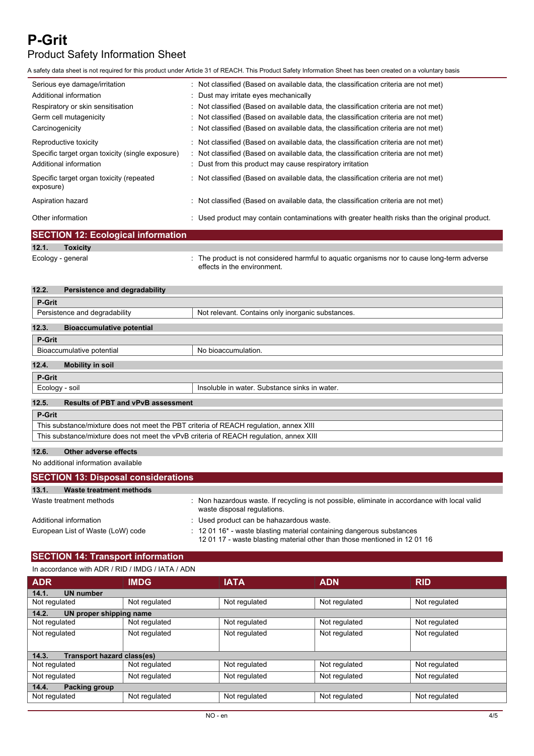# **P-Grit** Product Safety Information Sheet

A safety data sheet is not required for this product under Article 31 of REACH. This Product Safety Information Sheet has been created on a voluntary basis

| Serious eye damage/irritation                         | : Not classified (Based on available data, the classification criteria are not met)            |
|-------------------------------------------------------|------------------------------------------------------------------------------------------------|
| Additional information                                | : Dust may irritate eyes mechanically                                                          |
| Respiratory or skin sensitisation                     | : Not classified (Based on available data, the classification criteria are not met)            |
| Germ cell mutagenicity                                | : Not classified (Based on available data, the classification criteria are not met)            |
| Carcinogenicity                                       | : Not classified (Based on available data, the classification criteria are not met)            |
| Reproductive toxicity                                 | : Not classified (Based on available data, the classification criteria are not met)            |
| Specific target organ toxicity (single exposure)      | : Not classified (Based on available data, the classification criteria are not met)            |
| Additional information                                | : Dust from this product may cause respiratory irritation                                      |
| Specific target organ toxicity (repeated<br>exposure) | : Not classified (Based on available data, the classification criteria are not met)            |
| Aspiration hazard                                     | : Not classified (Based on available data, the classification criteria are not met)            |
| Other information                                     | : Used product may contain contaminations with greater health risks than the original product. |

|                   | <b>SECTION 12: Ecological information</b> |                                                                                                                            |  |
|-------------------|-------------------------------------------|----------------------------------------------------------------------------------------------------------------------------|--|
| 12.1.             | <b>Toxicity</b>                           |                                                                                                                            |  |
| Ecology - general |                                           | : The product is not considered harmful to aquatic organisms nor to cause long-term adverse<br>effects in the environment. |  |

| 12.2.         | Persistence and degradability                                                          |                                                   |  |
|---------------|----------------------------------------------------------------------------------------|---------------------------------------------------|--|
| P-Grit        |                                                                                        |                                                   |  |
|               | Persistence and degradability                                                          | Not relevant. Contains only inorganic substances. |  |
| 12.3.         | <b>Bioaccumulative potential</b>                                                       |                                                   |  |
| P-Grit        |                                                                                        |                                                   |  |
|               | Bioaccumulative potential                                                              | No bioaccumulation.                               |  |
| 12.4.         | <b>Mobility in soil</b>                                                                |                                                   |  |
| P-Grit        |                                                                                        |                                                   |  |
|               | Ecology - soil                                                                         | Insoluble in water. Substance sinks in water.     |  |
| 12.5.         | <b>Results of PBT and vPvB assessment</b>                                              |                                                   |  |
| <b>P-Grit</b> |                                                                                        |                                                   |  |
|               | This substance/mixture does not meet the PBT criteria of REACH regulation, annex XIII  |                                                   |  |
|               | This substance/mixture does not meet the vPvB criteria of REACH requiation, annex XIII |                                                   |  |
|               |                                                                                        |                                                   |  |

# **12.6. Other adverse effects**

No additional information available

| <b>SECTION 13: Disposal considerations</b> |                                                                                                                                                                           |  |
|--------------------------------------------|---------------------------------------------------------------------------------------------------------------------------------------------------------------------------|--|
| 13.1.<br>Waste treatment methods           |                                                                                                                                                                           |  |
| Waste treatment methods                    | : Non hazardous waste. If recycling is not possible, eliminate in accordance with local valid<br>waste disposal regulations.                                              |  |
| Additional information                     | : Used product can be hahazardous waste.                                                                                                                                  |  |
| European List of Waste (LoW) code          | $\therefore$ 12 01 16 <sup>*</sup> - waste blasting material containing dangerous substances<br>12 01 17 - waste blasting material other than those mentioned in 12 01 16 |  |

# **SECTION 14: Transport information**

| In accordance with ADR / RID / IMDG / IATA / ADN |
|--------------------------------------------------|
|--------------------------------------------------|

| <b>ADR</b>                                 | <b>IMDG</b>   | <b>IATA</b>   | <b>ADN</b>    | <b>RID</b>    |  |  |
|--------------------------------------------|---------------|---------------|---------------|---------------|--|--|
| <b>UN number</b><br>14.1.                  |               |               |               |               |  |  |
| Not regulated                              | Not regulated | Not regulated | Not regulated | Not regulated |  |  |
| UN proper shipping name<br>14.2.           |               |               |               |               |  |  |
| Not regulated                              | Not regulated | Not regulated | Not regulated | Not regulated |  |  |
| Not regulated                              | Not regulated | Not regulated | Not regulated | Not regulated |  |  |
|                                            |               |               |               |               |  |  |
| <b>Transport hazard class(es)</b><br>14.3. |               |               |               |               |  |  |
| Not regulated                              | Not regulated | Not regulated | Not regulated | Not regulated |  |  |
| Not regulated                              | Not regulated | Not regulated | Not regulated | Not regulated |  |  |
| 14.4.<br>Packing group                     |               |               |               |               |  |  |
| Not regulated                              | Not regulated | Not regulated | Not regulated | Not regulated |  |  |
|                                            |               |               |               |               |  |  |